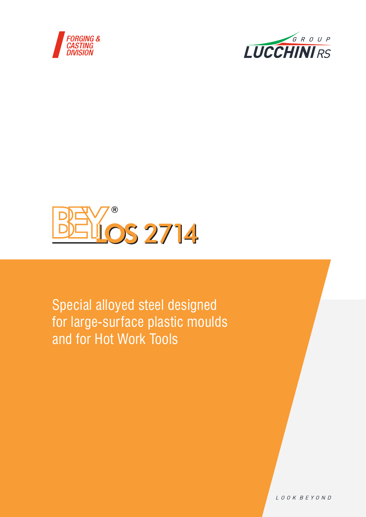





Special alloyed steel designed for large-surface plastic moulds and for Hot Work Tools

LOOK BEYOND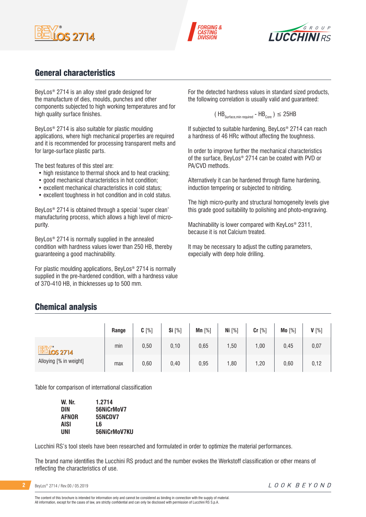





# General characteristics

BeyLos® 2714 is an alloy steel grade designed for the manufacture of dies, moulds, punches and other components subjected to high working temperatures and for high quality surface finishes.

BeyLos® 2714 is also suitable for plastic moulding applications, where high mechanical properties are required and it is recommended for processing transparent melts and for large-surface plastic parts.

The best features of this steel are:

- high resistance to thermal shock and to heat cracking;
- good mechanical characteristics in hot condition;
- excellent mechanical characteristics in cold status;
- excellent toughness in hot condition and in cold status.

BeyLos® 2714 is obtained through a special 'super clean' manufacturing process, which allows a high level of micropurity.

BeyLos® 2714 is normally supplied in the annealed condition with hardness values lower than 250 HB, thereby guaranteeing a good machinability.

For plastic moulding applications, BeyLos® 2714 is normally supplied in the pre-hardened condition, with a hardness value of 370-410 HB, in thicknesses up to 500 mm.

For the detected hardness values in standard sized products, the following correlation is usually valid and guaranteed:

$$
(\text{HB}_{\text{Surface,min required}} - \text{HB}_{\text{Core}}) \leq 25 \text{HB}
$$

If subjected to suitable hardening, BeyLos® 2714 can reach a hardness of 46 HRc without affecting the toughness.

In order to improve further the mechanical characteristics of the surface, BeyLos® 2714 can be coated with PVD or PA/CVD methods.

Alternatively it can be hardened through flame hardening, induction tempering or subjected to nitriding.

The high micro-purity and structural homogeneity levels give this grade good suitability to polishing and photo-engraving.

Machinability is lower compared with KeyLos® 2311, because it is not Calcium treated.

It may be necessary to adjust the cutting parameters, expecially with deep hole drilling.

### Chemical analysis

|                        | Range | $C[\%]$ | Si [%] | Mn $[%]$ | Ni $[%]$ | Cr [%] | Mo [%] | $V[\%]$ |
|------------------------|-------|---------|--------|----------|----------|--------|--------|---------|
| <b>BEY's 2714</b>      | min   | 0,50    | 0,10   | 0,65     | 1,50     | ,00    | 0,45   | 0,07    |
| Alloying [% in weight] | max   | 0,60    | 0,40   | 0,95     | 1,80     | ,20    | 0,60   | 0,12    |

Table for comparison of international classification

| W. Nr.       | 1.2714         |
|--------------|----------------|
| DIN          | 56NiCrMoV7     |
| <b>AFNOR</b> | <b>55NCDV7</b> |
| AISI         | L6             |
| UNI          | 56NiCrMoV7KU   |

Lucchini RS's tool steels have been researched and formulated in order to optimize the material performances.

The brand name identifies the Lucchini RS product and the number evokes the Werkstoff classification or other means of reflecting the characteristics of use.

**2** BeyLos® 2714 / Rev.00 / 05.2019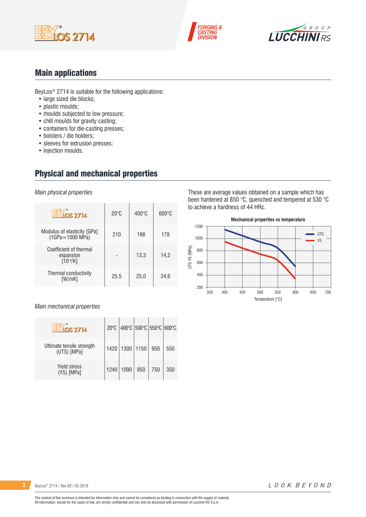





# Main applications

BeyLos® 2714 is suitable for the following applications:

- large sized die blocks;
- plastic moulds;
- moulds subjected to low pressure;
- chill moulds for gravity casting;
- containers for die-casting presses;
- bolsters / die holders;
- sleeves for extrusion presses;
- injection moulds.

# Physical and mechanical properties

*Main physical properties*

| $OS$ 2714                                            | $20^{\circ}$ C | $400^{\circ}$ C | $600\degree$ C |
|------------------------------------------------------|----------------|-----------------|----------------|
| Modulus of elasticity [GPa]<br>$(1GPa = 1000 MPa)$   | 210            | 198             | 178            |
| Coefficient of thermal<br>expansion<br>$[10^{-6}/K]$ |                | 13,3            | 14,2           |
| Thermal conductivity<br>[W/mK]                       | 25,5           | 25,0            | 24,6           |

#### *Main mechanical properties*

| <b>LLOS 2714</b>                         | $20^{\circ}$ C |             | 400°C 500°C 550°C 600°C |     |     |
|------------------------------------------|----------------|-------------|-------------------------|-----|-----|
| Ultimate tensile strength<br>(UTS) [MPa] | 1420           | 1300   1150 |                         | 950 | 550 |
| <b>Yield stress</b><br>(YS) [MPa]        | 1240           | 1090        | 950                     | 750 | 350 |

These are average values obtained on a sample which has been hardened at 850 °C, quenched and tempered at 530 °C to achieve a hardness of 44 HRc.

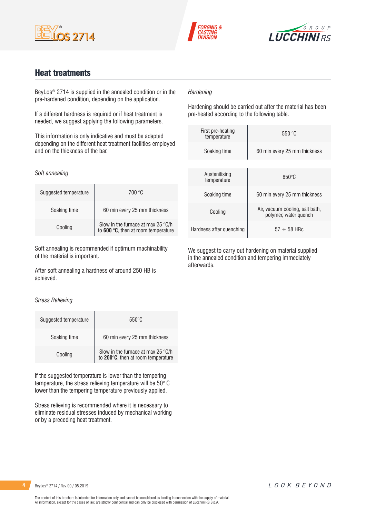





### Heat treatments

BeyLos® 2714 is supplied in the annealed condition or in the pre-hardened condition, depending on the application.

If a different hardness is required or if heat treatment is needed, we suggest applying the following parameters.

This information is only indicative and must be adapted depending on the different heat treatment facilities employed and on the thickness of the bar.

#### *Soft annealing*

| Suggested temperature | 700 °C                                                                    |
|-----------------------|---------------------------------------------------------------------------|
| Soaking time          | 60 min every 25 mm thickness                                              |
| Cooling               | Slow in the furnace at max 25 °C/h<br>to 600 °C, then at room temperature |

Soft annealing is recommended if optimum machinability of the material is important.

After soft annealing a hardness of around 250 HB is achieved.

#### *Stress Relieving*

| Suggested temperature | $550^{\circ}$ C                                                                   |
|-----------------------|-----------------------------------------------------------------------------------|
| Soaking time          | 60 min every 25 mm thickness                                                      |
| Cooling               | Slow in the furnace at max 25 $\degree$ C/h<br>to 200°C, then at room temperature |

If the suggested temperature is lower than the tempering temperature, the stress relieving temperature will be 50° C lower than the tempering temperature previously applied.

Stress relieving is recommended where it is necessary to eliminate residual stresses induced by mechanical working or by a preceding heat treatment.

### *Hardening*

Hardening should be carried out after the material has been pre-heated according to the following table.

| First pre-heating<br>temperature | 550 °C                                                   |
|----------------------------------|----------------------------------------------------------|
| Soaking time                     | 60 min every 25 mm thickness                             |
|                                  |                                                          |
| Austenitising<br>temperature     | $850^\circ C$                                            |
| Soaking time                     | 60 min every 25 mm thickness                             |
| Cooling                          | Air, vacuum cooling, salt bath,<br>polymer, water quench |
| Hardness after quenching         | $57 \div 58$ HRc                                         |

We suggest to carry out hardening on material supplied in the annealed condition and tempering immediately afterwards.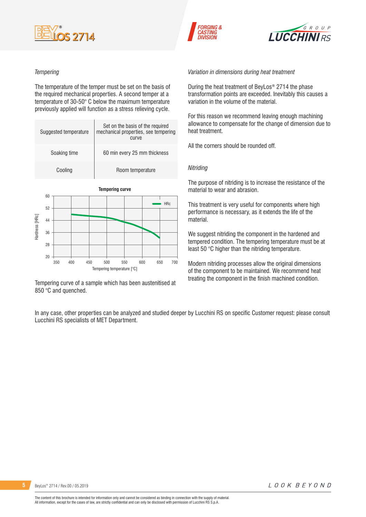





#### *Tempering*

 $20$ 

The temperature of the temper must be set on the basis of the required mechanical properties. A second temper at a temperature of 30-50° C below the maximum temperature previously applied will function as a stress relieving cycle.

|                | Suggested temperature |  |                              | Set on the basis of the required<br>mechanical properties, see tempering<br>curve |  |  |            |  |
|----------------|-----------------------|--|------------------------------|-----------------------------------------------------------------------------------|--|--|------------|--|
| Soaking time   |                       |  | 60 min every 25 mm thickness |                                                                                   |  |  |            |  |
|                | Cooling               |  |                              | Room temperature                                                                  |  |  |            |  |
|                | 60                    |  |                              | <b>Tempering curve</b>                                                            |  |  |            |  |
|                | 52                    |  |                              |                                                                                   |  |  | <b>HRc</b> |  |
| Hardness [HRc] | 44                    |  |                              |                                                                                   |  |  |            |  |
|                | 36                    |  |                              |                                                                                   |  |  |            |  |
|                | 28                    |  |                              |                                                                                   |  |  |            |  |

Tempering curve of a sample which has been austenitised at 850 °C and quenched.

Tempering temperature [°C]

350 400 450 500 550 600 650 700

*Variation in dimensions during heat treatment*

During the heat treatment of BeyLos® 2714 the phase transformation points are exceeded. Inevitably this causes a variation in the volume of the material.

For this reason we recommend leaving enough machining allowance to compensate for the change of dimension due to heat treatment.

All the corners should be rounded off.

#### *Nitriding*

The purpose of nitriding is to increase the resistance of the material to wear and abrasion.

This treatment is very useful for components where high performance is necessary, as it extends the life of the material.

We suggest nitriding the component in the hardened and tempered condition. The tempering temperature must be at least 50 °C higher than the nitriding temperature.

Modern nitriding processes allow the original dimensions of the component to be maintained. We recommend heat treating the component in the finish machined condition.

In any case, other properties can be analyzed and studied deeper by Lucchini RS on specific Customer request: please consult Lucchini RS specialists of MET Department.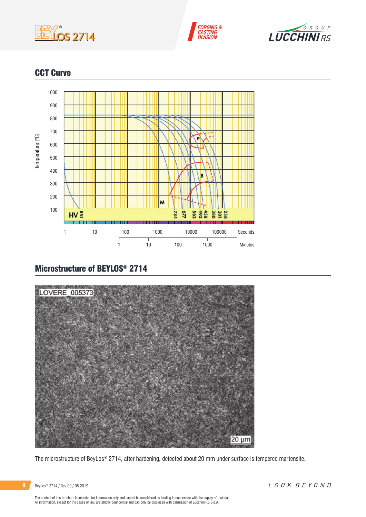





# CCT Curve



# Microstructure of BEYLOS® 2714



The microstructure of BeyLos® 2714, after hardening, detected about 20 mm under surface is tempered martensite.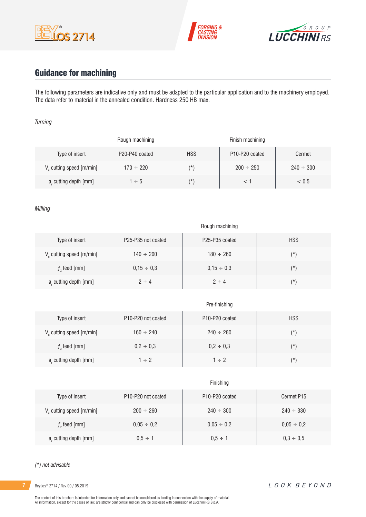





# Guidance for machining

 $\overline{1}$ 

The following parameters are indicative only and must be adapted to the particular application and to the machinery employed. The data refer to material in the annealed condition. Hardness 250 HB max.

#### *Turning*

|                                      | Rough machining |            | Finish machining                        |                |
|--------------------------------------|-----------------|------------|-----------------------------------------|----------------|
| Type of insert                       | P20-P40 coated  | <b>HSS</b> | P <sub>10</sub> -P <sub>20</sub> coated | Cermet         |
| V <sub>c</sub> cutting speed [m/min] | $170 \div 220$  | $(\star)$  | $200 \div 250$                          | $240 \div 300$ |
| a, cutting depth [mm]                | $1 \div 5$      | $(\star)$  |                                         | < 0.5          |

#### *Milling*

|                                      | Rough machining                             |                                         |            |  |  |
|--------------------------------------|---------------------------------------------|-----------------------------------------|------------|--|--|
| Type of insert                       | P <sub>25</sub> -P <sub>35</sub> not coated | P <sub>25</sub> -P <sub>35</sub> coated | <b>HSS</b> |  |  |
| V <sub>c</sub> cutting speed [m/min] | $140 \div 200$                              | $180 \div 260$                          | $(*)$      |  |  |
| $fz$ feed [mm]                       | $0,15 \div 0,3$                             | $0,15 \div 0,3$                         | $(\star)$  |  |  |
| a, cutting depth [mm]                | $2 \div 4$                                  | $2 \div 4$                              | $(\star)$  |  |  |

|                         | Pre-finishing                               |                                         |            |  |  |  |
|-------------------------|---------------------------------------------|-----------------------------------------|------------|--|--|--|
| Type of insert          | P <sub>10</sub> -P <sub>20</sub> not coated | P <sub>10</sub> -P <sub>20</sub> coated | <b>HSS</b> |  |  |  |
| V cutting speed [m/min] | $160 \div 240$                              | $240 \div 280$                          | $(\star)$  |  |  |  |
| $fz$ feed [mm]          | $0,2 \div 0,3$                              | $0,2 \div 0,3$                          | $(\star)$  |  |  |  |
| a, cutting depth [mm]   | $1 \div 2$                                  | $1 \div 2$                              | (*)        |  |  |  |

|                               | Finishing                                   |                                         |                 |  |  |  |
|-------------------------------|---------------------------------------------|-----------------------------------------|-----------------|--|--|--|
| Type of insert                | P <sub>10</sub> -P <sub>20</sub> not coated | P <sub>10</sub> -P <sub>20</sub> coated | Cermet P15      |  |  |  |
| $V_c$ cutting speed $[m/min]$ | $200 \div 260$                              | $240 \div 300$                          | $240 \div 330$  |  |  |  |
| $fz$ feed [mm]                | $0,05 \div 0,2$                             | $0.05 \div 0.2$                         | $0,05 \div 0,2$ |  |  |  |
| a, cutting depth [mm]         | $0.5 \div 1$                                | $0.5 \div 1$                            | $0,3 \div 0,5$  |  |  |  |

#### *(\*) not advisable*

**7** BeyLos® 2714 / Rev.00 / 05.2019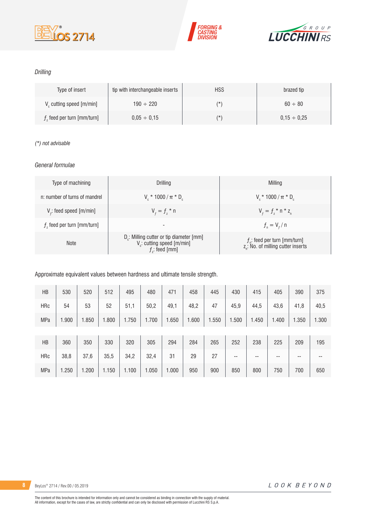





### *Drilling*

| Type of insert                       | tip with interchangeable inserts | <b>HSS</b> | brazed tip       |
|--------------------------------------|----------------------------------|------------|------------------|
| V <sub>c</sub> cutting speed [m/min] | $190 \div 220$                   | (*         | $60 \div 80$     |
| $fz$ feed per turn [mm/turn]         | $0.05 \div 0.15$                 | (*         | $0.15 \div 0.25$ |

### *(\*) not advisable*

### *General formulae*

| Type of machining             | Drilling                                                                                                          | Milling                                                                             |
|-------------------------------|-------------------------------------------------------------------------------------------------------------------|-------------------------------------------------------------------------------------|
| n: number of turns of mandrel | $V_r * 1000 / \pi * D_r$                                                                                          | $V_r * 1000 / \pi * D_r$                                                            |
| $Vf$ : feed speed [m/min]     | $V_{f} = f_{7}$ * n                                                                                               | $V_{f} = f_{i} * n * z_{n}$                                                         |
| $fz$ feed per turn [mm/turn]  | -                                                                                                                 | $f_{n} = V_{f} / n$                                                                 |
| <b>Note</b>                   | D <sub>r</sub> : Milling cutter or tip diameter [mm]<br>V <sub>c</sub> : cutting speed [m/min]<br>$f$ : feed [mm] | $f_{n}$ : feed per turn [mm/turn]<br>z <sub>n</sub> : No. of milling cutter inserts |

Approximate equivalent values between hardness and ultimate tensile strength.

| HB         | 530   | 520   | 512   | 495   | 480   | 471   | 458   | 445   | 430   | 415   | 405   | 390   | 375   |
|------------|-------|-------|-------|-------|-------|-------|-------|-------|-------|-------|-------|-------|-------|
| <b>HRc</b> | 54    | 53    | 52    | 51,1  | 50,2  | 49,1  | 48,2  | 47    | 45,9  | 44,5  | 43,6  | 41,8  | 40,5  |
| MPa        | .900  | 1.850 | 1.800 | 1.750 | 1.700 | 1.650 | 1.600 | 1.550 | 1.500 | 1.450 | 1.400 | 1.350 | 1.300 |
|            |       |       |       |       |       |       |       |       |       |       |       |       |       |
| HB         | 360   | 350   | 330   | 320   | 305   | 294   | 284   | 265   | 252   | 238   | 225   | 209   | 195   |
| <b>HRc</b> | 38,8  | 37,6  | 35,5  | 34,2  | 32,4  | 31    | 29    | 27    | --    | $- -$ | --    | --    | --    |
| MPa        | 1.250 | 1.200 | 1.150 | 1.100 | 1.050 | 1.000 | 950   | 900   | 850   | 800   | 750   | 700   | 650   |